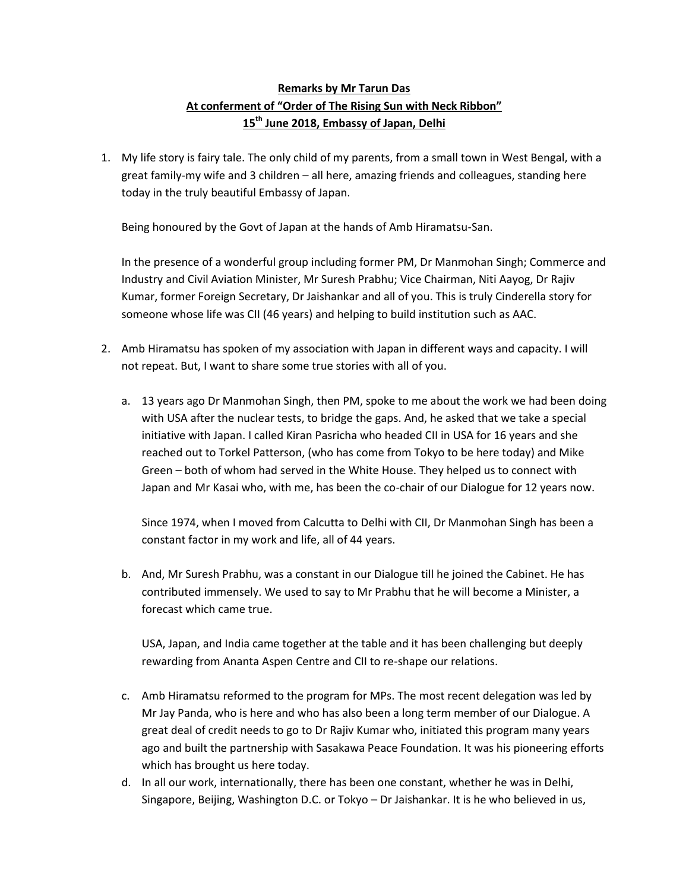## **Remarks by Mr Tarun Das At conferment of "Order of The Rising Sun with Neck Ribbon" 15th June 2018, Embassy of Japan, Delhi**

1. My life story is fairy tale. The only child of my parents, from a small town in West Bengal, with a great family-my wife and 3 children – all here, amazing friends and colleagues, standing here today in the truly beautiful Embassy of Japan.

Being honoured by the Govt of Japan at the hands of Amb Hiramatsu-San.

In the presence of a wonderful group including former PM, Dr Manmohan Singh; Commerce and Industry and Civil Aviation Minister, Mr Suresh Prabhu; Vice Chairman, Niti Aayog, Dr Rajiv Kumar, former Foreign Secretary, Dr Jaishankar and all of you. This is truly Cinderella story for someone whose life was CII (46 years) and helping to build institution such as AAC.

- 2. Amb Hiramatsu has spoken of my association with Japan in different ways and capacity. I will not repeat. But, I want to share some true stories with all of you.
	- a. 13 years ago Dr Manmohan Singh, then PM, spoke to me about the work we had been doing with USA after the nuclear tests, to bridge the gaps. And, he asked that we take a special initiative with Japan. I called Kiran Pasricha who headed CII in USA for 16 years and she reached out to Torkel Patterson, (who has come from Tokyo to be here today) and Mike Green – both of whom had served in the White House. They helped us to connect with Japan and Mr Kasai who, with me, has been the co-chair of our Dialogue for 12 years now.

Since 1974, when I moved from Calcutta to Delhi with CII, Dr Manmohan Singh has been a constant factor in my work and life, all of 44 years.

b. And, Mr Suresh Prabhu, was a constant in our Dialogue till he joined the Cabinet. He has contributed immensely. We used to say to Mr Prabhu that he will become a Minister, a forecast which came true.

USA, Japan, and India came together at the table and it has been challenging but deeply rewarding from Ananta Aspen Centre and CII to re-shape our relations.

- c. Amb Hiramatsu reformed to the program for MPs. The most recent delegation was led by Mr Jay Panda, who is here and who has also been a long term member of our Dialogue. A great deal of credit needs to go to Dr Rajiv Kumar who, initiated this program many years ago and built the partnership with Sasakawa Peace Foundation. It was his pioneering efforts which has brought us here today.
- d. In all our work, internationally, there has been one constant, whether he was in Delhi, Singapore, Beijing, Washington D.C. or Tokyo – Dr Jaishankar. It is he who believed in us,